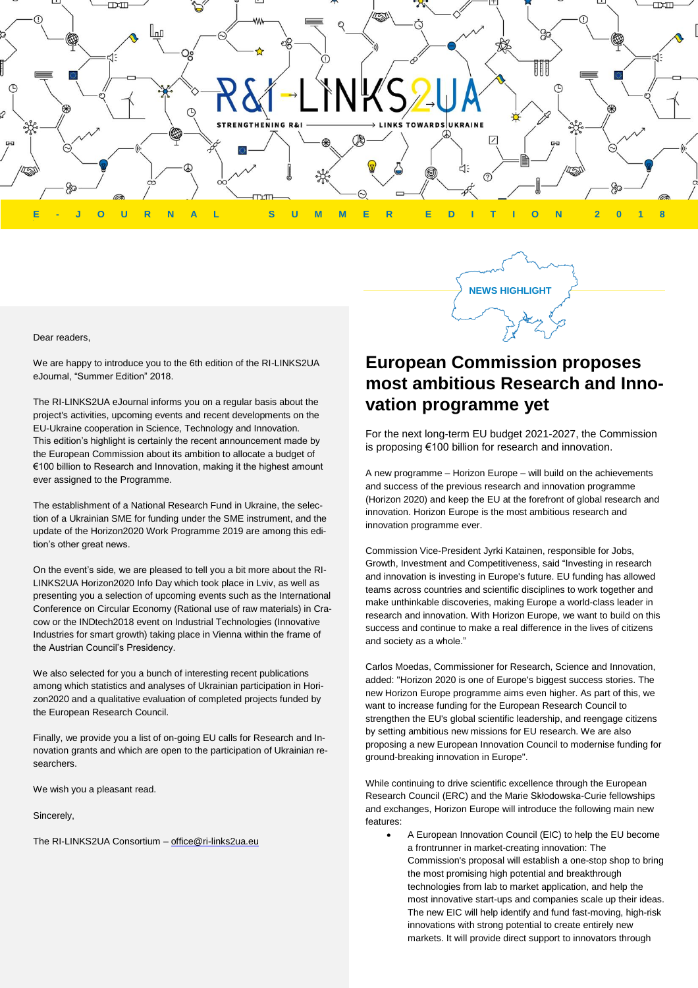

#### Dear readers,

We are happy to introduce you to the 6th edition of the RI-LINKS2UA eJournal, "Summer Edition" 2018.

The RI-LINKS2UA eJournal informs you on a regular basis about the project's activities, upcoming events and recent developments on the EU-Ukraine cooperation in Science, Technology and Innovation. This edition's highlight is certainly the recent announcement made by the European Commission about its ambition to allocate a budget of €100 billion to Research and Innovation, making it the highest amount ever assigned to the Programme.

The establishment of a National Research Fund in Ukraine, the selection of a Ukrainian SME for funding under the SME instrument, and the update of the Horizon2020 Work Programme 2019 are among this edition's other great news.

On the event's side, we are pleased to tell you a bit more about the RI-LINKS2UA Horizon2020 Info Day which took place in Lviv, as well as presenting you a selection of upcoming events such as the International Conference on Circular Economy (Rational use of raw materials) in Cracow or the INDtech2018 event on Industrial Technologies (Innovative Industries for smart growth) taking place in Vienna within the frame of the Austrian Council's Presidency.

We also selected for you a bunch of interesting recent publications among which statistics and analyses of Ukrainian participation in Horizon2020 and a qualitative evaluation of completed projects funded by the European Research Council.

Finally, we provide you a list of on-going EU calls for Research and Innovation grants and which are open to the participation of Ukrainian researchers.

We wish you a pleasant read.

Sincerely,

The RI-LINKS2UA Consortium - [office@ri-links2ua.eu](mailto:office@ri-links2ua.eu)

# **European Commission proposes most ambitious Research and Innovation programme yet**

**NEWS HIGHLIGHT**

For the next long-term EU budget 2021-2027, the Commission is proposing €100 billion for research and innovation.

A new programme – Horizon Europe – will build on the achievements and success of the previous research and innovation programme (Horizon 2020) and keep the EU at the forefront of global research and innovation. Horizon Europe is the most ambitious research and innovation programme ever.

Commission Vice-President Jyrki Katainen, responsible for Jobs, Growth, Investment and Competitiveness, said "Investing in research and innovation is investing in Europe's future. EU funding has allowed teams across countries and scientific disciplines to work together and make unthinkable discoveries, making Europe a world-class leader in research and innovation. With Horizon Europe, we want to build on this success and continue to make a real difference in the lives of citizens and society as a whole."

Carlos Moedas, Commissioner for Research, Science and Innovation, added: "Horizon 2020 is one of Europe's biggest success stories. The new Horizon Europe programme aims even higher. As part of this, we want to increase funding for the European Research Council to strengthen the EU's global scientific leadership, and reengage citizens by setting ambitious new missions for EU research. We are also proposing a new European Innovation Council to modernise funding for ground-breaking innovation in Europe".

While continuing to drive scientific excellence through the European Research Council (ERC) and the Marie Skłodowska-Curie fellowships and exchanges, Horizon Europe will introduce the following main new features:

• A European Innovation Council (EIC) to help the EU become a frontrunner in market-creating innovation: The Commission's proposal will establish a one-stop shop to bring the most promising high potential and breakthrough technologies from lab to market application, and help the most innovative start-ups and companies scale up their ideas. The new EIC will help identify and fund fast-moving, high-risk innovations with strong potential to create entirely new markets. It will provide direct support to innovators through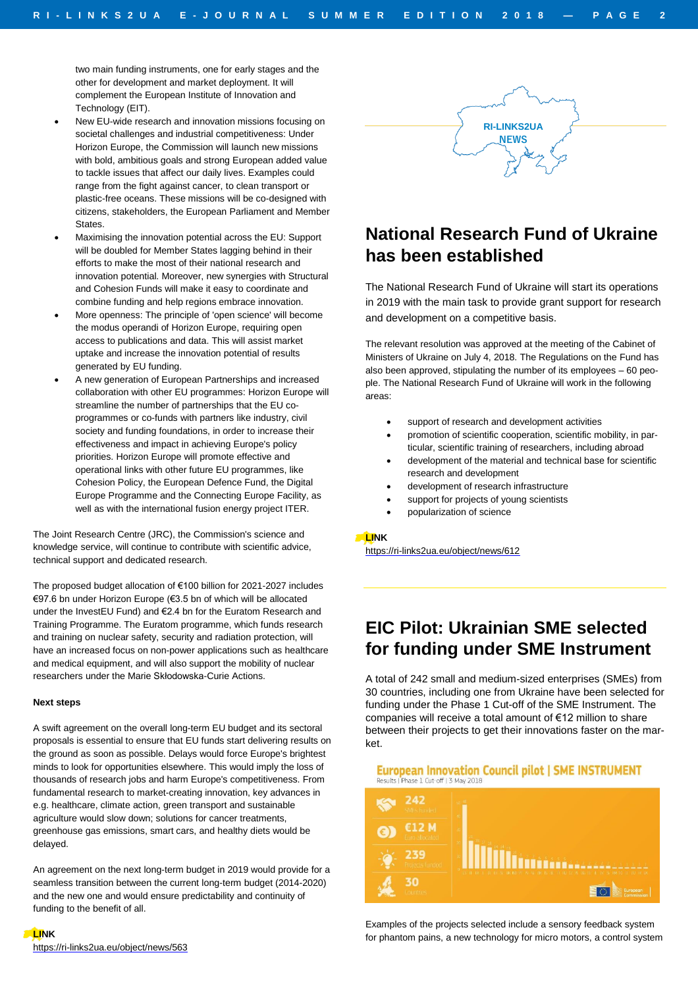two main funding instruments, one for early stages and the other for development and market deployment. It will complement the European Institute of Innovation and Technology (EIT).

- New EU-wide research and innovation missions focusing on societal challenges and industrial competitiveness: Under Horizon Europe, the Commission will launch new missions with bold, ambitious goals and strong European added value to tackle issues that affect our daily lives. Examples could range from the fight against cancer, to clean transport or plastic-free oceans. These missions will be co-designed with citizens, stakeholders, the European Parliament and Member States.
- Maximising the innovation potential across the EU: Support will be doubled for Member States lagging behind in their efforts to make the most of their national research and innovation potential. Moreover, new synergies with Structural and Cohesion Funds will make it easy to coordinate and combine funding and help regions embrace innovation.
- More openness: The principle of 'open science' will become the modus operandi of Horizon Europe, requiring open access to publications and data. This will assist market uptake and increase the innovation potential of results generated by EU funding.
- A new generation of European Partnerships and increased collaboration with other EU programmes: Horizon Europe will streamline the number of partnerships that the EU coprogrammes or co-funds with partners like industry, civil society and funding foundations, in order to increase their effectiveness and impact in achieving Europe's policy priorities. Horizon Europe will promote effective and operational links with other future EU programmes, like Cohesion Policy, the European Defence Fund, the Digital Europe Programme and the Connecting Europe Facility, as well as with the international fusion energy project ITER.

The Joint Research Centre (JRC), the Commission's science and knowledge service, will continue to contribute with scientific advice, technical support and dedicated research.

The proposed budget allocation of €100 billion for 2021-2027 includes €97.6 bn under Horizon Europe (€3.5 bn of which will be allocated under the InvestEU Fund) and €2.4 bn for the Euratom Research and Training Programme. The Euratom programme, which funds research and training on nuclear safety, security and radiation protection, will have an increased focus on non-power applications such as healthcare and medical equipment, and will also support the mobility of nuclear researchers under the Marie Skłodowska-Curie Actions.

#### **Next steps**

A swift agreement on the overall long-term EU budget and its sectoral proposals is essential to ensure that EU funds start delivering results on the ground as soon as possible. Delays would force Europe's brightest minds to look for opportunities elsewhere. This would imply the loss of thousands of research jobs and harm Europe's competitiveness. From fundamental research to market-creating innovation, key advances in e.g. healthcare, climate action, green transport and sustainable agriculture would slow down; solutions for cancer treatments, greenhouse gas emissions, smart cars, and healthy diets would be delayed.

An agreement on the next long-term budget in 2019 would provide for a seamless transition between the current long-term budget (2014-2020) and the new one and would ensure predictability and continuity of funding to the benefit of all.



## **National Research Fund of Ukraine has been established**

The National Research Fund of Ukraine will start its operations in 2019 with the main task to provide grant support for research and development on a competitive basis.

The relevant resolution was approved at the meeting of the Cabinet of Ministers of Ukraine on July 4, 2018. The Regulations on the Fund has also been approved, stipulating the number of its employees – 60 people. The National Research Fund of Ukraine will work in the following areas:

- support of research and development activities
- promotion of scientific cooperation, scientific mobility, in particular, scientific training of researchers, including abroad
- development of the material and technical base for scientific research and development
- development of research infrastructure
- support for projects of young scientists
- popularization of science

#### **LINK**

<https://ri-links2ua.eu/object/news/612>

## **EIC Pilot: Ukrainian SME selected for funding under SME Instrument**

A total of 242 small and medium-sized enterprises (SMEs) from 30 countries, including one from Ukraine have been selected for funding under the Phase 1 Cut-off of the SME Instrument. The companies will receive a total amount of €12 million to share between their projects to get their innovations faster on the market.

**European Innovation Council pilot | SME INSTRUMENT** sults | Phase 1 Cut off | 3 May 2018



Examples of the projects selected include a sensory feedback system for phantom pains, a new technology for micro motors, a control system

**LINK** <https://ri-links2ua.eu/object/news/563>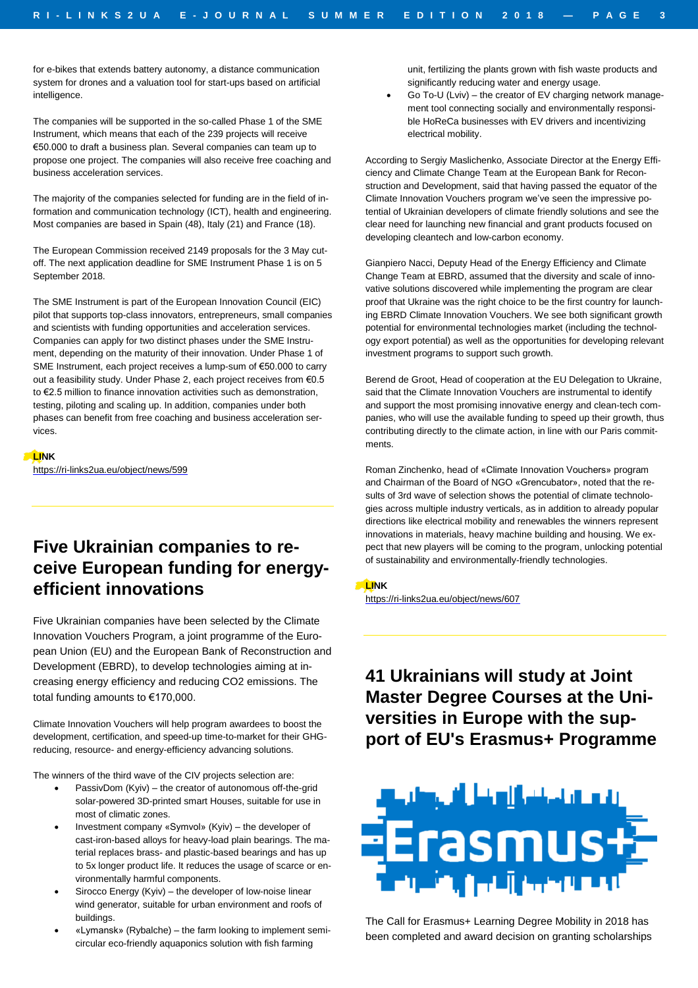for e-bikes that extends battery autonomy, a distance communication system for drones and a valuation tool for start-ups based on artificial intelligence.

The companies will be supported in the so-called Phase 1 of the SME Instrument, which means that each of the 239 projects will receive €50.000 to draft a business plan. Several companies can team up to propose one project. The companies will also receive free coaching and business acceleration services.

The majority of the companies selected for funding are in the field of information and communication technology (ICT), health and engineering. Most companies are based in Spain (48), Italy (21) and France (18).

The European Commission received 2149 proposals for the 3 May cutoff. The next application deadline for SME Instrument Phase 1 is on 5 September 2018.

The SME Instrument is part of the European Innovation Council (EIC) pilot that supports top-class innovators, entrepreneurs, small companies and scientists with funding opportunities and acceleration services. Companies can apply for two distinct phases under the SME Instrument, depending on the maturity of their innovation. Under Phase 1 of SME Instrument, each project receives a lump-sum of €50.000 to carry out a feasibility study. Under Phase 2, each project receives from €0.5 to €2.5 million to finance innovation activities such as demonstration, testing, piloting and scaling up. In addition, companies under both phases can benefit from free coaching and business acceleration services.

#### **LINK**

<https://ri-links2ua.eu/object/news/599>

# **Five Ukrainian companies to receive European funding for energyefficient innovations**

Five Ukrainian companies have been selected by the Climate Innovation Vouchers Program, a joint programme of the European Union (EU) and the European Bank of Reconstruction and Development (EBRD), to develop technologies aiming at increasing energy efficiency and reducing CO2 emissions. The total funding amounts to €170,000.

Climate Innovation Vouchers will help program awardees to boost the development, certification, and speed-up time-to-market for their GHGreducing, resource- and energy-efficiency advancing solutions.

The winners of the third wave of the CIV projects selection are:

- PassivDom (Kyiv) the creator of autonomous off-the-grid solar-powered 3D-printed smart Houses, suitable for use in most of climatic zones.
- Investment company «Symvol» (Kyiv) the developer of cast-iron-based alloys for heavy-load plain bearings. The material replaces brass- and plastic-based bearings and has up to 5x longer product life. It reduces the usage of scarce or environmentally harmful components.
- Sirocco Energy (Kyiv) the developer of low-noise linear wind generator, suitable for urban environment and roofs of buildings.
- «Lymansk» (Rybalche) the farm looking to implement semicircular eco-friendly aquaponics solution with fish farming

unit, fertilizing the plants grown with fish waste products and significantly reducing water and energy usage.

• Go To-U (Lviv) – the creator of EV charging network management tool connecting socially and environmentally responsible HoReCa businesses with EV drivers and incentivizing electrical mobility.

According to Sergiy Maslichenko, Associate Director at the Energy Efficiency and Climate Change Team at the European Bank for Reconstruction and Development, said that having passed the equator of the Climate Innovation Vouchers program we've seen the impressive potential of Ukrainian developers of climate friendly solutions and see the clear need for launching new financial and grant products focused on developing cleantech and low-carbon economy.

Gianpiero Nacci, Deputy Head of the Energy Efficiency and Climate Change Team at EBRD, assumed that the diversity and scale of innovative solutions discovered while implementing the program are clear proof that Ukraine was the right choice to be the first country for launching EBRD Climate Innovation Vouchers. We see both significant growth potential for environmental technologies market (including the technology export potential) as well as the opportunities for developing relevant investment programs to support such growth.

Berend de Groot, Head of cooperation at the EU Delegation to Ukraine, said that the Climate Innovation Vouchers are instrumental to identify and support the most promising innovative energy and clean-tech companies, who will use the available funding to speed up their growth, thus contributing directly to the climate action, in line with our Paris commitments.

Roman Zinchenko, head of «Climate Innovation Vouchers» program and Chairman of the Board of NGO «Grencubator», noted that the results of 3rd wave of selection shows the potential of climate technologies across multiple industry verticals, as in addition to already popular directions like electrical mobility and renewables the winners represent innovations in materials, heavy machine building and housing. We expect that new players will be coming to the program, unlocking potential of sustainability and environmentally-friendly technologies.

## **LINK**

<https://ri-links2ua.eu/object/news/607>

## **41 Ukrainians will study at Joint Master Degree Courses at the Universities in Europe with the support of EU's Erasmus+ Programme**



The Call for Erasmus+ Learning Degree Mobility in 2018 has been completed and award decision on granting scholarships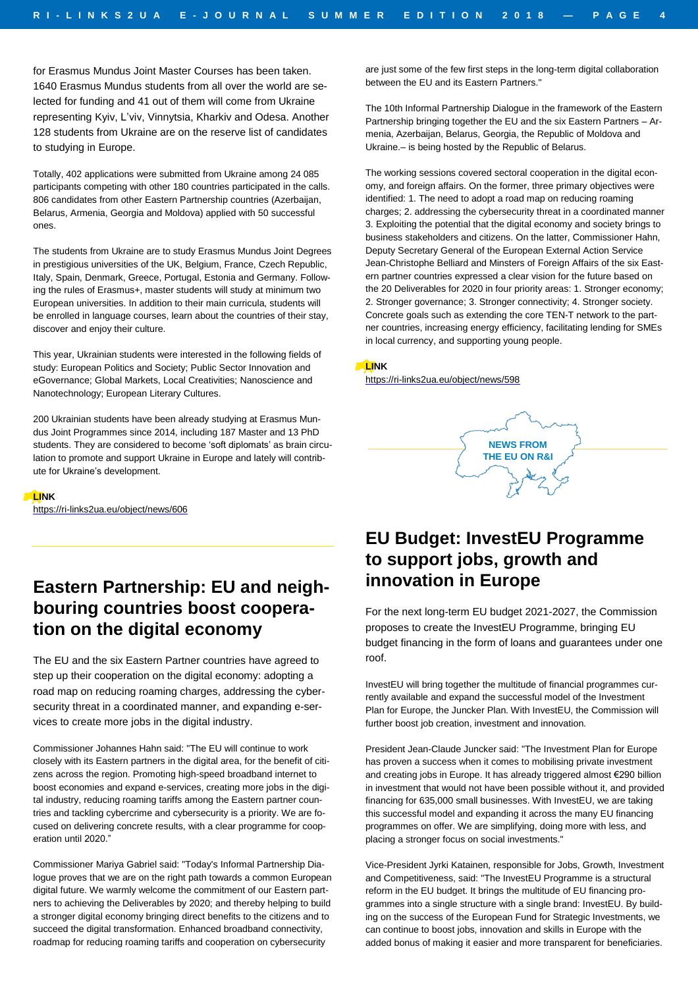for Erasmus Mundus Joint Master Courses has been taken. 1640 Erasmus Mundus students from all over the world are selected for funding and 41 out of them will come from Ukraine representing Kyiv, L'viv, Vinnytsia, Kharkiv and Odesa. Another 128 students from Ukraine are on the reserve list of candidates to studying in Europe.

Totally, 402 applications were submitted from Ukraine among 24 085 participants competing with other 180 countries participated in the calls. 806 candidates from other Eastern Partnership countries (Azerbaijan, Belarus, Armenia, Georgia and Moldova) applied with 50 successful ones.

The students from Ukraine are to study Erasmus Mundus Joint Degrees in prestigious universities of the UK, Belgium, France, Czech Republic, Italy, Spain, Denmark, Greece, Portugal, Estonia and Germany. Following the rules of Erasmus+, master students will study at minimum two European universities. In addition to their main curricula, students will be enrolled in language courses, learn about the countries of their stay, discover and enjoy their culture.

This year, Ukrainian students were interested in the following fields of study: European Politics and Society; Public Sector Innovation and eGovernance; Global Markets, Local Creativities; Nanoscience and Nanotechnology; European Literary Cultures.

200 Ukrainian students have been already studying at Erasmus Mundus Joint Programmes since 2014, including 187 Master and 13 PhD students. They are considered to become 'soft diplomats' as brain circulation to promote and support Ukraine in Europe and lately will contribute for Ukraine's development.

**LINK**

<https://ri-links2ua.eu/object/news/606>

## **Eastern Partnership: EU and neighbouring countries boost cooperation on the digital economy**

The EU and the six Eastern Partner countries have agreed to step up their cooperation on the digital economy: adopting a road map on reducing roaming charges, addressing the cybersecurity threat in a coordinated manner, and expanding e-services to create more jobs in the digital industry.

Commissioner Johannes Hahn said: "The EU will continue to work closely with its Eastern partners in the digital area, for the benefit of citizens across the region. Promoting high-speed broadband internet to boost economies and expand e-services, creating more jobs in the digital industry, reducing roaming tariffs among the Eastern partner countries and tackling cybercrime and cybersecurity is a priority. We are focused on delivering concrete results, with a clear programme for cooperation until 2020."

Commissioner Mariya Gabriel said: "Today's Informal Partnership Dialogue proves that we are on the right path towards a common European digital future. We warmly welcome the commitment of our Eastern partners to achieving the Deliverables by 2020; and thereby helping to build a stronger digital economy bringing direct benefits to the citizens and to succeed the digital transformation. Enhanced broadband connectivity, roadmap for reducing roaming tariffs and cooperation on cybersecurity

are just some of the few first steps in the long-term digital collaboration between the EU and its Eastern Partners."

The 10th Informal Partnership Dialogue in the framework of the Eastern Partnership bringing together the EU and the six Eastern Partners – Armenia, Azerbaijan, Belarus, Georgia, the Republic of Moldova and Ukraine.– is being hosted by the Republic of Belarus.

The working sessions covered sectoral cooperation in the digital economy, and foreign affairs. On the former, three primary objectives were identified: 1. The need to adopt a road map on reducing roaming charges; 2. addressing the cybersecurity threat in a coordinated manner 3. Exploiting the potential that the digital economy and society brings to business stakeholders and citizens. On the latter, Commissioner Hahn, Deputy Secretary General of the European External Action Service Jean-Christophe Belliard and Minsters of Foreign Affairs of the six Eastern partner countries expressed a clear vision for the future based on the 20 Deliverables for 2020 in four priority areas: 1. Stronger economy; 2. Stronger governance; 3. Stronger connectivity; 4. Stronger society. Concrete goals such as extending the core TEN-T network to the partner countries, increasing energy efficiency, facilitating lending for SMEs in local currency, and supporting young people.

### **LINK**

<https://ri-links2ua.eu/object/news/598>



## **EU Budget: InvestEU Programme to support jobs, growth and innovation in Europe**

For the next long-term EU budget 2021-2027, the Commission proposes to create the InvestEU Programme, bringing EU budget financing in the form of loans and guarantees under one roof.

InvestEU will bring together the multitude of financial programmes currently available and expand the successful model of the Investment Plan for Europe, the Juncker Plan. With InvestEU, the Commission will further boost job creation, investment and innovation.

President Jean-Claude Juncker said: "The Investment Plan for Europe has proven a success when it comes to mobilising private investment and creating jobs in Europe. It has already triggered almost €290 billion in investment that would not have been possible without it, and provided financing for 635,000 small businesses. With InvestEU, we are taking this successful model and expanding it across the many EU financing programmes on offer. We are simplifying, doing more with less, and placing a stronger focus on social investments."

Vice-President Jyrki Katainen, responsible for Jobs, Growth, Investment and Competitiveness, said: "The InvestEU Programme is a structural reform in the EU budget. It brings the multitude of EU financing programmes into a single structure with a single brand: InvestEU. By building on the success of the European Fund for Strategic Investments, we can continue to boost jobs, innovation and skills in Europe with the added bonus of making it easier and more transparent for beneficiaries.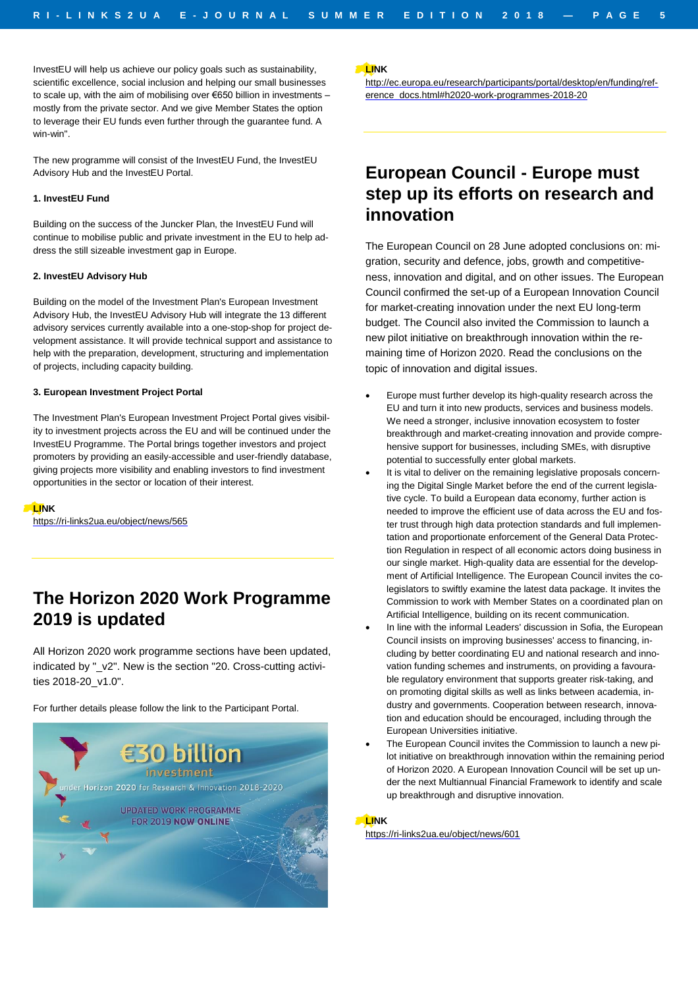InvestEU will help us achieve our policy goals such as sustainability, scientific excellence, social inclusion and helping our small businesses to scale up, with the aim of mobilising over €650 billion in investments – mostly from the private sector. And we give Member States the option to leverage their EU funds even further through the guarantee fund. A win-win".

The new programme will consist of the InvestEU Fund, the InvestEU Advisory Hub and the InvestEU Portal.

#### **1. InvestEU Fund**

Building on the success of the Juncker Plan, the InvestEU Fund will continue to mobilise public and private investment in the EU to help address the still sizeable investment gap in Europe.

#### **2. InvestEU Advisory Hub**

Building on the model of the Investment Plan's European Investment Advisory Hub, the InvestEU Advisory Hub will integrate the 13 different advisory services currently available into a one-stop-shop for project development assistance. It will provide technical support and assistance to help with the preparation, development, structuring and implementation of projects, including capacity building.

#### **3. European Investment Project Portal**

The Investment Plan's European Investment Project Portal gives visibility to investment projects across the EU and will be continued under the InvestEU Programme. The Portal brings together investors and project promoters by providing an easily-accessible and user-friendly database, giving projects more visibility and enabling investors to find investment opportunities in the sector or location of their interest.

**LINK**

<https://ri-links2ua.eu/object/news/565>

## **The Horizon 2020 Work Programme 2019 is updated**

All Horizon 2020 work programme sections have been updated, indicated by "\_v2". New is the section "20. Cross-cutting activities 2018-20\_v1.0".

For further details please follow the link to the Participant Portal.



**LINK**

[http://ec.europa.eu/research/participants/portal/desktop/en/funding/ref](http://ec.europa.eu/research/participants/portal/desktop/en/funding/reference_docs.html#h2020-work-programmes-2018-20)[erence\\_docs.html#h2020-work-programmes-2018-20](http://ec.europa.eu/research/participants/portal/desktop/en/funding/reference_docs.html#h2020-work-programmes-2018-20)

## **European Council - Europe must step up its efforts on research and innovation**

The European Council on 28 June adopted conclusions on: migration, security and defence, jobs, growth and competitiveness, innovation and digital, and on other issues. The European Council confirmed the set-up of a European Innovation Council for market-creating innovation under the next EU long-term budget. The Council also invited the Commission to launch a new pilot initiative on breakthrough innovation within the remaining time of Horizon 2020. Read the conclusions on the topic of innovation and digital issues.

- Europe must further develop its high-quality research across the EU and turn it into new products, services and business models. We need a stronger, inclusive innovation ecosystem to foster breakthrough and market-creating innovation and provide comprehensive support for businesses, including SMEs, with disruptive potential to successfully enter global markets.
- It is vital to deliver on the remaining legislative proposals concerning the Digital Single Market before the end of the current legislative cycle. To build a European data economy, further action is needed to improve the efficient use of data across the EU and foster trust through high data protection standards and full implementation and proportionate enforcement of the General Data Protection Regulation in respect of all economic actors doing business in our single market. High-quality data are essential for the development of Artificial Intelligence. The European Council invites the colegislators to swiftly examine the latest data package. It invites the Commission to work with Member States on a coordinated plan on Artificial Intelligence, building on its recent communication.
- In line with the informal Leaders' discussion in Sofia, the European Council insists on improving businesses' access to financing, including by better coordinating EU and national research and innovation funding schemes and instruments, on providing a favourable regulatory environment that supports greater risk-taking, and on promoting digital skills as well as links between academia, industry and governments. Cooperation between research, innovation and education should be encouraged, including through the European Universities initiative.
- The European Council invites the Commission to launch a new pilot initiative on breakthrough innovation within the remaining period of Horizon 2020. A European Innovation Council will be set up under the next Multiannual Financial Framework to identify and scale up breakthrough and disruptive innovation.

#### **LINK**

<https://ri-links2ua.eu/object/news/601>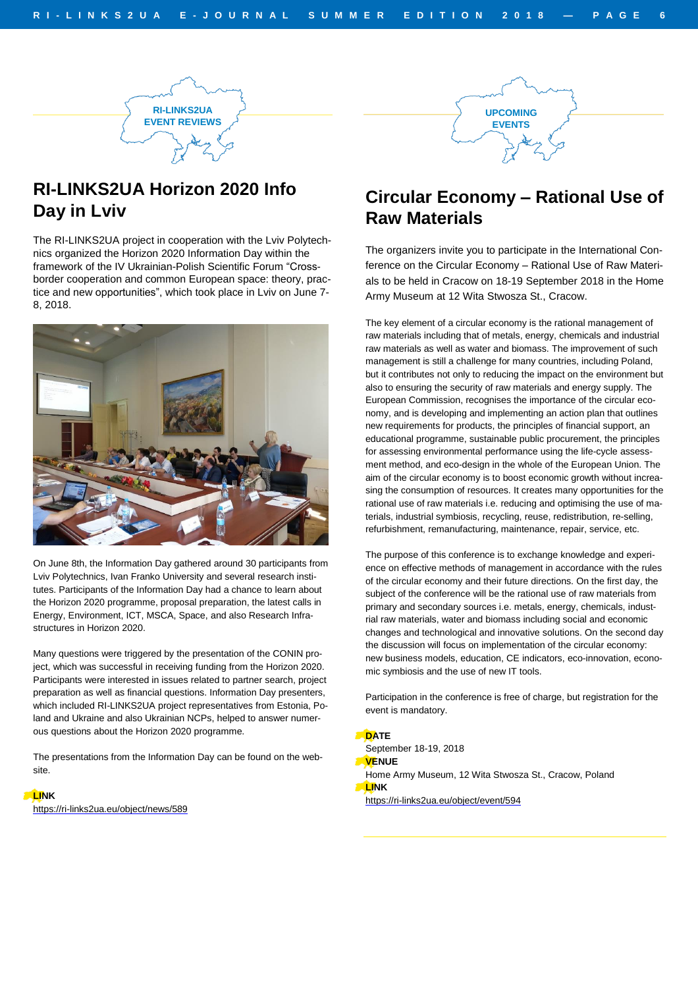

## **RI-LINKS2UA Horizon 2020 Info Day in Lviv**

The RI-LINKS2UA project in cooperation with the Lviv Polytechnics organized the Horizon 2020 Information Day within the framework of the IV Ukrainian-Polish Scientific Forum "Crossborder cooperation and common European space: theory, practice and new opportunities", which took place in Lviv on June 7- 8, 2018.



On June 8th, the Information Day gathered around 30 participants from Lviv Polytechnics, Ivan Franko University and several research institutes. Participants of the Information Day had a chance to learn about the Horizon 2020 programme, proposal preparation, the latest calls in Energy, Environment, ICT, MSCA, Space, and also Research Infrastructures in Horizon 2020.

Many questions were triggered by the presentation of the CONIN project, which was successful in receiving funding from the Horizon 2020. Participants were interested in issues related to partner search, project preparation as well as financial questions. Information Day presenters, which included RI-LINKS2UA project representatives from Estonia, Poland and Ukraine and also Ukrainian NCPs, helped to answer numerous questions about the Horizon 2020 programme.

The presentations from the Information Day can be found on the website.

## **LINK**

<https://ri-links2ua.eu/object/news/589>



**UPCOMING EVENTS**

The organizers invite you to participate in the International Conference on the Circular Economy – Rational Use of Raw Materials to be held in Cracow on 18-19 September 2018 in the Home Army Museum at 12 Wita Stwosza St., Cracow.

The key element of a circular economy is the rational management of raw materials including that of metals, energy, chemicals and industrial raw materials as well as water and biomass. The improvement of such management is still a challenge for many countries, including Poland, but it contributes not only to reducing the impact on the environment but also to ensuring the security of raw materials and energy supply. The European Commission, recognises the importance of the circular economy, and is developing and implementing an action plan that outlines new requirements for products, the principles of financial support, an educational programme, sustainable public procurement, the principles for assessing environmental performance using the life-cycle assessment method, and eco-design in the whole of the European Union. The aim of the circular economy is to boost economic growth without increasing the consumption of resources. It creates many opportunities for the rational use of raw materials i.e. reducing and optimising the use of materials, industrial symbiosis, recycling, reuse, redistribution, re-selling, refurbishment, remanufacturing, maintenance, repair, service, etc.

The purpose of this conference is to exchange knowledge and experience on effective methods of management in accordance with the rules of the circular economy and their future directions. On the first day, the subject of the conference will be the rational use of raw materials from primary and secondary sources i.e. metals, energy, chemicals, industrial raw materials, water and biomass including social and economic changes and technological and innovative solutions. On the second day the discussion will focus on implementation of the circular economy: new business models, education, CE indicators, eco-innovation, economic symbiosis and the use of new IT tools.

Participation in the conference is free of charge, but registration for the event is mandatory.

#### **DATE**

September 18-19, 2018 **VENUE** Home Army Museum, 12 Wita Stwosza St., Cracow, Poland **LINK**

<https://ri-links2ua.eu/object/event/594>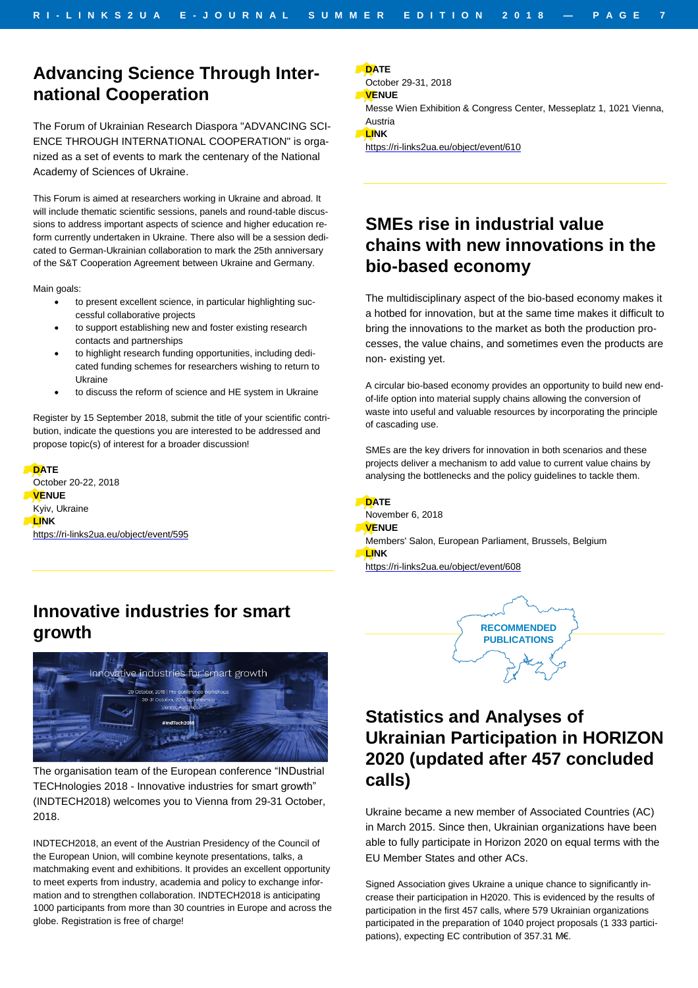## **Advancing Science Through International Cooperation**

The Forum of Ukrainian Research Diaspora "ADVANCING SCI-ENCE THROUGH INTERNATIONAL COOPERATION" is organized as a set of events to mark the centenary of the National Academy of Sciences of Ukraine.

This Forum is aimed at researchers working in Ukraine and abroad. It will include thematic scientific sessions, panels and round-table discussions to address important aspects of science and higher education reform currently undertaken in Ukraine. There also will be a session dedicated to German-Ukrainian collaboration to mark the 25th anniversary of the S&T Cooperation Agreement between Ukraine and Germany.

Main goals:

- to present excellent science, in particular highlighting successful collaborative projects
- to support establishing new and foster existing research contacts and partnerships
- to highlight research funding opportunities, including dedicated funding schemes for researchers wishing to return to Ukraine
- to discuss the reform of science and HE system in Ukraine

Register by 15 September 2018, submit the title of your scientific contribution, indicate the questions you are interested to be addressed and propose topic(s) of interest for a broader discussion!

#### **DATE** October 20-22, 2018 **VENUE** Kyiv, Ukraine **LINK** <https://ri-links2ua.eu/object/event/595>

## **Innovative industries for smart growth**



The organisation team of the European conference "INDustrial TECHnologies 2018 - Innovative industries for smart growth" (INDTECH2018) welcomes you to Vienna from 29-31 October, 2018.

INDTECH2018, an event of the Austrian Presidency of the Council of the European Union, will combine keynote presentations, talks, a matchmaking event and exhibitions. It provides an excellent opportunity to meet experts from industry, academia and policy to exchange information and to strengthen collaboration. INDTECH2018 is anticipating 1000 participants from more than 30 countries in Europe and across the globe. Registration is free of charge!

**DATE**

- October 29-31, 2018
- **VENUE**
- Messe Wien Exhibition & Congress Center, Messeplatz 1, 1021 Vienna, Austria

**LINK**

<https://ri-links2ua.eu/object/event/610>

## **SMEs rise in industrial value chains with new innovations in the bio-based economy**

The multidisciplinary aspect of the bio-based economy makes it a hotbed for innovation, but at the same time makes it difficult to bring the innovations to the market as both the production processes, the value chains, and sometimes even the products are non- existing yet.

A circular bio-based economy provides an opportunity to build new endof-life option into material supply chains allowing the conversion of waste into useful and valuable resources by incorporating the principle of cascading use.

SMEs are the key drivers for innovation in both scenarios and these projects deliver a mechanism to add value to current value chains by analysing the bottlenecks and the policy guidelines to tackle them.

**DATE**

- November 6, 2018
- **VENUE**
- Members' Salon, European Parliament, Brussels, Belgium **LINK**

<https://ri-links2ua.eu/object/event/608>



# **Statistics and Analyses of Ukrainian Participation in HORIZON 2020 (updated after 457 concluded calls)**

Ukraine became a new member of Associated Countries (AC) in March 2015. Since then, Ukrainian organizations have been able to fully participate in Horizon 2020 on equal terms with the EU Member States and other ACs.

Signed Association gives Ukraine a unique chance to significantly increase their participation in H2020. This is evidenced by the results of participation in the first 457 calls, where 579 Ukrainian organizations participated in the preparation of 1040 project proposals (1 333 participations), expecting EC contribution of 357.31 M€.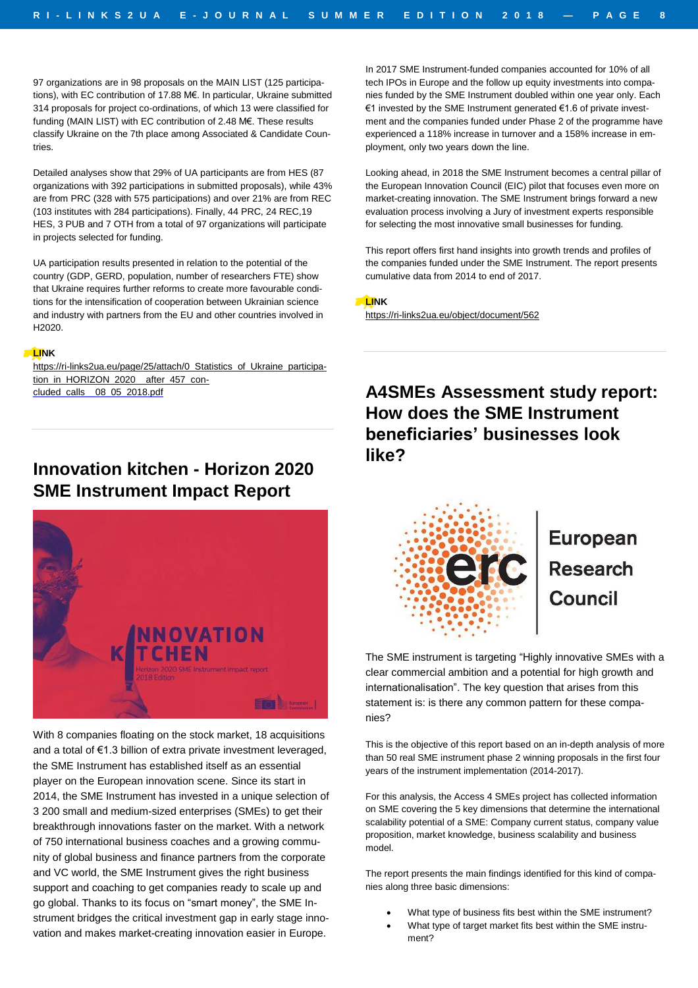97 organizations are in 98 proposals on the MAIN LIST (125 participations), with EC contribution of 17.88 M€. In particular, Ukraine submitted 314 proposals for project co-ordinations, of which 13 were classified for funding (MAIN LIST) with EC contribution of 2.48 M€. These results classify Ukraine on the 7th place among Associated & Candidate Countries.

Detailed analyses show that 29% of UA participants are from HES (87 organizations with 392 participations in submitted proposals), while 43% are from PRC (328 with 575 participations) and over 21% are from REC (103 institutes with 284 participations). Finally, 44 PRC, 24 REC,19 HES, 3 PUB and 7 OTH from a total of 97 organizations will participate in projects selected for funding.

UA participation results presented in relation to the potential of the country (GDP, GERD, population, number of researchers FTE) show that Ukraine requires further reforms to create more favourable conditions for the intensification of cooperation between Ukrainian science and industry with partners from the EU and other countries involved in H2020.

#### **LINK**

[https://ri-links2ua.eu/page/25/attach/0\\_Statistics\\_of\\_Ukraine\\_participa](https://ri-links2ua.eu/page/25/attach/0_Statistics_of_Ukraine_participation_in_HORIZON_2020__after_457_concluded_calls__08_05_2018.pdf)tion\_in\_HORIZON\_2020\_after\_457\_con[cluded\\_calls\\_\\_08\\_05\\_2018.pdf](https://ri-links2ua.eu/page/25/attach/0_Statistics_of_Ukraine_participation_in_HORIZON_2020__after_457_concluded_calls__08_05_2018.pdf)

## **Innovation kitchen - Horizon 2020 SME Instrument Impact Report**



With 8 companies floating on the stock market, 18 acquisitions and a total of €1.3 billion of extra private investment leveraged, the SME Instrument has established itself as an essential player on the European innovation scene. Since its start in 2014, the SME Instrument has invested in a unique selection of 3 200 small and medium-sized enterprises (SMEs) to get their breakthrough innovations faster on the market. With a network of 750 international business coaches and a growing community of global business and finance partners from the corporate and VC world, the SME Instrument gives the right business support and coaching to get companies ready to scale up and go global. Thanks to its focus on "smart money", the SME Instrument bridges the critical investment gap in early stage innovation and makes market-creating innovation easier in Europe.

In 2017 SME Instrument-funded companies accounted for 10% of all tech IPOs in Europe and the follow up equity investments into companies funded by the SME Instrument doubled within one year only. Each €1 invested by the SME Instrument generated €1.6 of private investment and the companies funded under Phase 2 of the programme have experienced a 118% increase in turnover and a 158% increase in employment, only two years down the line.

Looking ahead, in 2018 the SME Instrument becomes a central pillar of the European Innovation Council (EIC) pilot that focuses even more on market-creating innovation. The SME Instrument brings forward a new evaluation process involving a Jury of investment experts responsible for selecting the most innovative small businesses for funding.

This report offers first hand insights into growth trends and profiles of the companies funded under the SME Instrument. The report presents cumulative data from 2014 to end of 2017.

**LINK**

<https://ri-links2ua.eu/object/document/562>

**A4SMEs Assessment study report: How does the SME Instrument beneficiaries' businesses look like?**



# **European**

The SME instrument is targeting "Highly innovative SMEs with a clear commercial ambition and a potential for high growth and internationalisation". The key question that arises from this statement is: is there any common pattern for these companies?

This is the objective of this report based on an in-depth analysis of more than 50 real SME instrument phase 2 winning proposals in the first four years of the instrument implementation (2014-2017).

For this analysis, the Access 4 SMEs project has collected information on SME covering the 5 key dimensions that determine the international scalability potential of a SME: Company current status, company value proposition, market knowledge, business scalability and business model.

The report presents the main findings identified for this kind of companies along three basic dimensions:

- What type of business fits best within the SME instrument?
- What type of target market fits best within the SME instrument?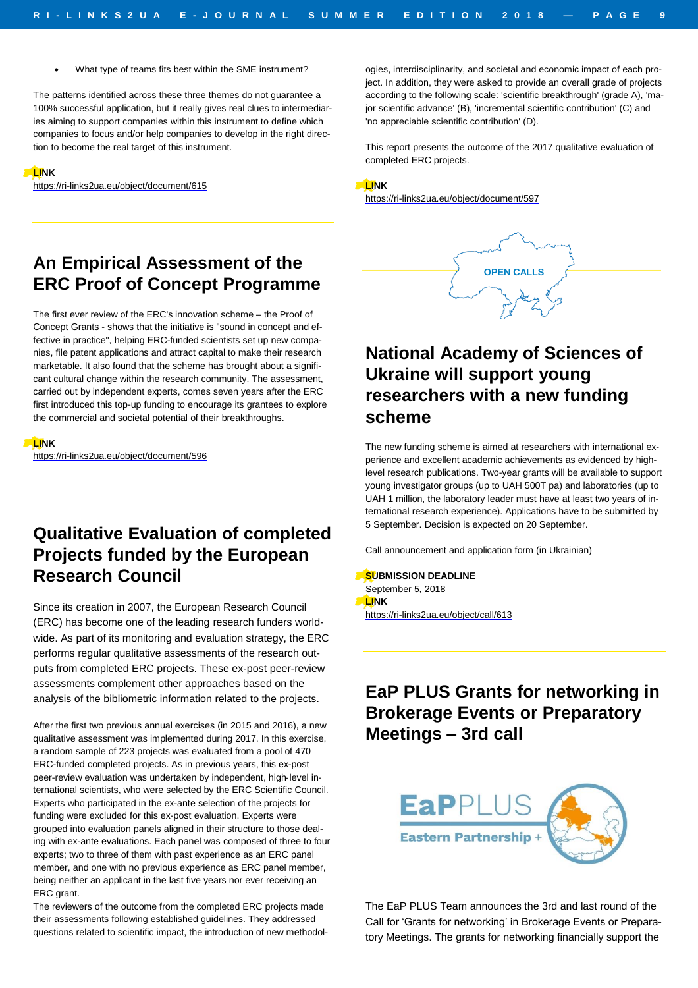• What type of teams fits best within the SME instrument?

The patterns identified across these three themes do not guarantee a 100% successful application, but it really gives real clues to intermediaries aiming to support companies within this instrument to define which companies to focus and/or help companies to develop in the right direction to become the real target of this instrument.

#### **LINK**

<https://ri-links2ua.eu/object/document/615>

ogies, interdisciplinarity, and societal and economic impact of each project. In addition, they were asked to provide an overall grade of projects according to the following scale: 'scientific breakthrough' (grade A), 'major scientific advance' (B), 'incremental scientific contribution' (C) and 'no appreciable scientific contribution' (D).

This report presents the outcome of the 2017 qualitative evaluation of completed ERC projects.

**OPEN CALLS**

#### **LINK**

<https://ri-links2ua.eu/object/document/597>

## **An Empirical Assessment of the ERC Proof of Concept Programme**

The first ever review of the ERC's innovation scheme – the Proof of Concept Grants - shows that the initiative is "sound in concept and effective in practice", helping ERC-funded scientists set up new companies, file patent applications and attract capital to make their research marketable. It also found that the scheme has brought about a significant cultural change within the research community. The assessment, carried out by independent experts, comes seven years after the ERC first introduced this top-up funding to encourage its grantees to explore the commercial and societal potential of their breakthroughs.

**LINK**

<https://ri-links2ua.eu/object/document/596>

## **Qualitative Evaluation of completed Projects funded by the European Research Council**

Since its creation in 2007, the European Research Council (ERC) has become one of the leading research funders worldwide. As part of its monitoring and evaluation strategy, the ERC performs regular qualitative assessments of the research outputs from completed ERC projects. These ex-post peer-review assessments complement other approaches based on the analysis of the bibliometric information related to the projects.

After the first two previous annual exercises (in 2015 and 2016), a new qualitative assessment was implemented during 2017. In this exercise, a random sample of 223 projects was evaluated from a pool of 470 ERC-funded completed projects. As in previous years, this ex-post peer-review evaluation was undertaken by independent, high-level international scientists, who were selected by the ERC Scientific Council. Experts who participated in the ex-ante selection of the projects for funding were excluded for this ex-post evaluation. Experts were grouped into evaluation panels aligned in their structure to those dealing with ex-ante evaluations. Each panel was composed of three to four experts; two to three of them with past experience as an ERC panel member, and one with no previous experience as ERC panel member, being neither an applicant in the last five years nor ever receiving an ERC grant.

The reviewers of the outcome from the completed ERC projects made their assessments following established guidelines. They addressed questions related to scientific impact, the introduction of new methodol-

# **National Academy of Sciences of Ukraine will support young researchers with a new funding scheme**

The new funding scheme is aimed at researchers with international experience and excellent academic achievements as evidenced by highlevel research publications. Two-year grants will be available to support young investigator groups (up to UAH 500T pa) and laboratories (up to UAH 1 million, the laboratory leader must have at least two years of international research experience). Applications have to be submitted by 5 September. Decision is expected on 20 September.

Call [announcement](http://files.nas.gov.ua/text/YoungMessage/%D0%9D%D0%BE%D1%80%D0%BC%D0%94%D0%BE%D0%BA%D0%9D%D0%90%D0%9D%D0%A3/180704_360/180704_360_molod_laboratorii.pdf) and application form (in Ukrainian)

**SUBMISSION DEADLINE** September 5, 2018 **LINK** <https://ri-links2ua.eu/object/call/613>

## **EaP PLUS Grants for networking in Brokerage Events or Preparatory Meetings – 3rd call**



The EaP PLUS Team announces the 3rd and last round of the Call for 'Grants for networking' in Brokerage Events or Preparatory Meetings. The grants for networking financially support the